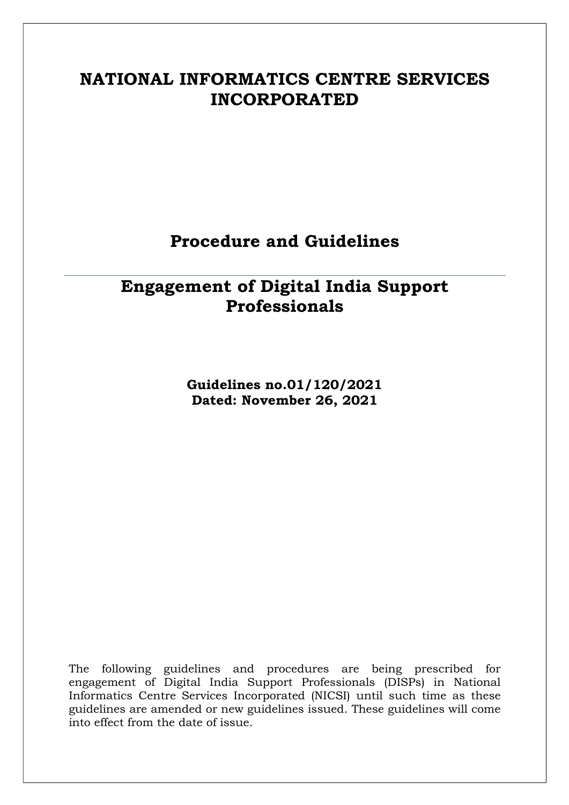# NATIONAL INFORMATICS CENTRE SERVICES INCORPORATED

## Procedure and Guidelines

# Engagement of Digital India Support Professionals

Guidelines no.01/120/2021 Dated: November 26, 2021

The following guidelines and procedures are being prescribed for engagement of Digital India Support Professionals (DISPs) in National Informatics Centre Services Incorporated (NICSI) until such time as these guidelines are amended or new guidelines issued. These guidelines will come into effect from the date of issue.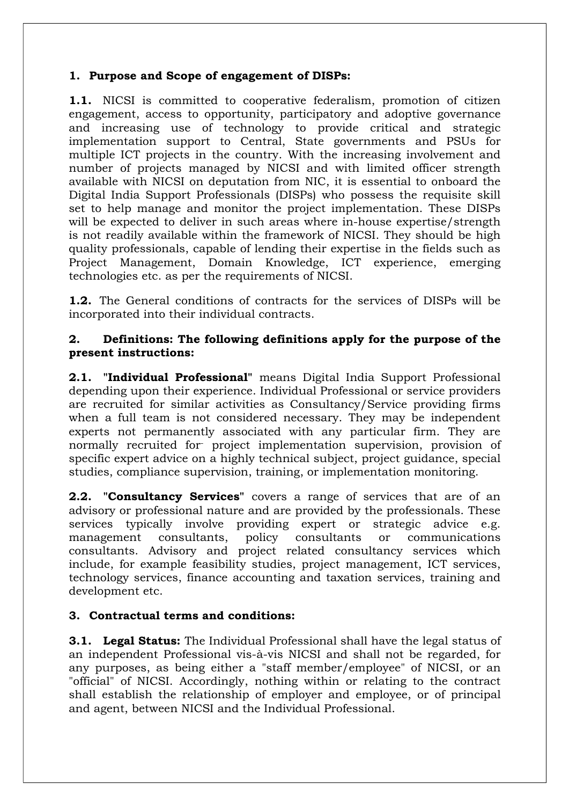#### 1. Purpose and Scope of engagement of DISPs:

1.1. NICSI is committed to cooperative federalism, promotion of citizen engagement, access to opportunity, participatory and adoptive governance and increasing use of technology to provide critical and strategic implementation support to Central, State governments and PSUs for multiple ICT projects in the country. With the increasing involvement and number of projects managed by NICSI and with limited officer strength available with NICSI on deputation from NIC, it is essential to onboard the Digital India Support Professionals (DISPs) who possess the requisite skill set to help manage and monitor the project implementation. These DISPs will be expected to deliver in such areas where in-house expertise/strength is not readily available within the framework of NICSI. They should be high quality professionals, capable of lending their expertise in the fields such as Project Management, Domain Knowledge, ICT experience, emerging technologies etc. as per the requirements of NICSI.

1.2. The General conditions of contracts for the services of DISPs will be incorporated into their individual contracts.

#### 2. Definitions: The following definitions apply for the purpose of the present instructions:

2.1. "Individual Professional" means Digital India Support Professional depending upon their experience. Individual Professional or service providers are recruited for similar activities as Consultancy/Service providing firms when a full team is not considered necessary. They may be independent experts not permanently associated with any particular firm. They are normally recruited for- project implementation supervision, provision of specific expert advice on a highly technical subject, project guidance, special studies, compliance supervision, training, or implementation monitoring.

2.2. "Consultancy Services" covers a range of services that are of an advisory or professional nature and are provided by the professionals. These services typically involve providing expert or strategic advice e.g. management consultants, policy consultants or communications consultants. Advisory and project related consultancy services which include, for example feasibility studies, project management, ICT services, technology services, finance accounting and taxation services, training and development etc.

#### 3. Contractual terms and conditions:

**3.1. Legal Status:** The Individual Professional shall have the legal status of an independent Professional vis-à-vis NICSI and shall not be regarded, for any purposes, as being either a "staff member/employee" of NICSI, or an "official" of NICSI. Accordingly, nothing within or relating to the contract shall establish the relationship of employer and employee, or of principal and agent, between NICSI and the Individual Professional.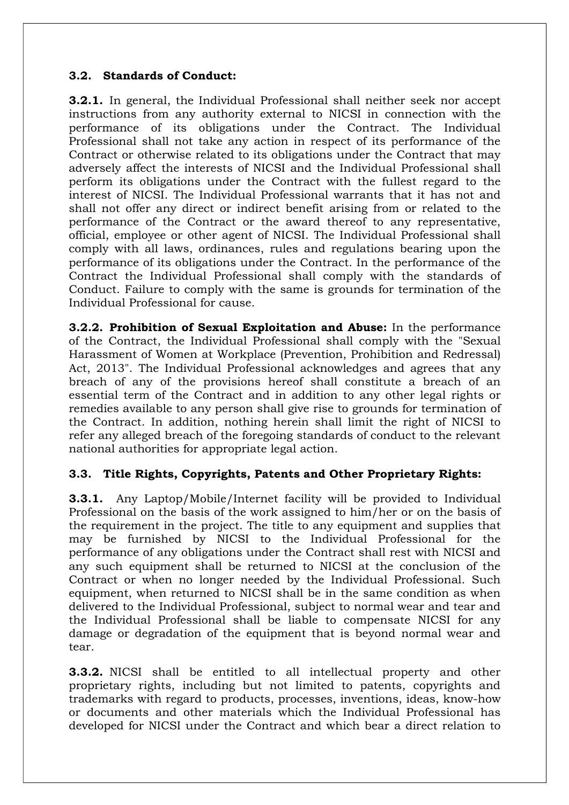#### 3.2. Standards of Conduct:

3.2.1. In general, the Individual Professional shall neither seek nor accept instructions from any authority external to NICSI in connection with the performance of its obligations under the Contract. The Individual Professional shall not take any action in respect of its performance of the Contract or otherwise related to its obligations under the Contract that may adversely affect the interests of NICSI and the Individual Professional shall perform its obligations under the Contract with the fullest regard to the interest of NICSI. The Individual Professional warrants that it has not and shall not offer any direct or indirect benefit arising from or related to the performance of the Contract or the award thereof to any representative, official, employee or other agent of NICSI. The Individual Professional shall comply with all laws, ordinances, rules and regulations bearing upon the performance of its obligations under the Contract. In the performance of the Contract the Individual Professional shall comply with the standards of Conduct. Failure to comply with the same is grounds for termination of the Individual Professional for cause.

3.2.2. Prohibition of Sexual Exploitation and Abuse: In the performance of the Contract, the Individual Professional shall comply with the "Sexual Harassment of Women at Workplace (Prevention, Prohibition and Redressal) Act, 2013". The Individual Professional acknowledges and agrees that any breach of any of the provisions hereof shall constitute a breach of an essential term of the Contract and in addition to any other legal rights or remedies available to any person shall give rise to grounds for termination of the Contract. In addition, nothing herein shall limit the right of NICSI to refer any alleged breach of the foregoing standards of conduct to the relevant national authorities for appropriate legal action.

#### 3.3. Title Rights, Copyrights, Patents and Other Proprietary Rights:

3.3.1. Any Laptop/Mobile/Internet facility will be provided to Individual Professional on the basis of the work assigned to him/her or on the basis of the requirement in the project. The title to any equipment and supplies that may be furnished by NICSI to the Individual Professional for the performance of any obligations under the Contract shall rest with NICSI and any such equipment shall be returned to NICSI at the conclusion of the Contract or when no longer needed by the Individual Professional. Such equipment, when returned to NICSI shall be in the same condition as when delivered to the Individual Professional, subject to normal wear and tear and the Individual Professional shall be liable to compensate NICSI for any damage or degradation of the equipment that is beyond normal wear and tear.

**3.3.2.** NICSI shall be entitled to all intellectual property and other proprietary rights, including but not limited to patents, copyrights and trademarks with regard to products, processes, inventions, ideas, know-how or documents and other materials which the Individual Professional has developed for NICSI under the Contract and which bear a direct relation to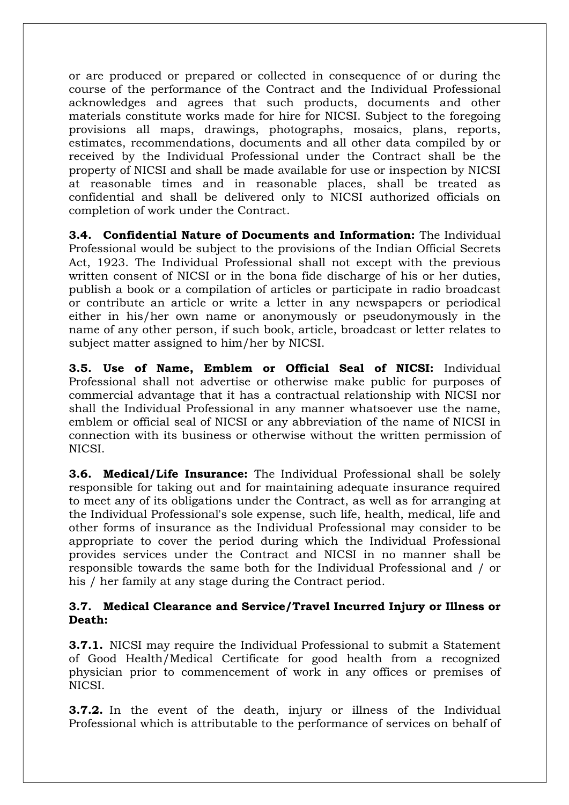or are produced or prepared or collected in consequence of or during the course of the performance of the Contract and the Individual Professional acknowledges and agrees that such products, documents and other materials constitute works made for hire for NICSI. Subject to the foregoing provisions all maps, drawings, photographs, mosaics, plans, reports, estimates, recommendations, documents and all other data compiled by or received by the Individual Professional under the Contract shall be the property of NICSI and shall be made available for use or inspection by NICSI at reasonable times and in reasonable places, shall be treated as confidential and shall be delivered only to NICSI authorized officials on completion of work under the Contract.

3.4. Confidential Nature of Documents and Information: The Individual Professional would be subject to the provisions of the Indian Official Secrets Act, 1923. The Individual Professional shall not except with the previous written consent of NICSI or in the bona fide discharge of his or her duties, publish a book or a compilation of articles or participate in radio broadcast or contribute an article or write a letter in any newspapers or periodical either in his/her own name or anonymously or pseudonymously in the name of any other person, if such book, article, broadcast or letter relates to subject matter assigned to him/her by NICSI.

3.5. Use of Name, Emblem or Official Seal of NICSI: Individual Professional shall not advertise or otherwise make public for purposes of commercial advantage that it has a contractual relationship with NICSI nor shall the Individual Professional in any manner whatsoever use the name, emblem or official seal of NICSI or any abbreviation of the name of NICSI in connection with its business or otherwise without the written permission of NICSI.

3.6. Medical/Life Insurance: The Individual Professional shall be solely responsible for taking out and for maintaining adequate insurance required to meet any of its obligations under the Contract, as well as for arranging at the Individual Professional's sole expense, such life, health, medical, life and other forms of insurance as the Individual Professional may consider to be appropriate to cover the period during which the Individual Professional provides services under the Contract and NICSI in no manner shall be responsible towards the same both for the Individual Professional and / or his / her family at any stage during the Contract period.

#### 3.7. Medical Clearance and Service/Travel Incurred Injury or Illness or Death:

3.7.1. NICSI may require the Individual Professional to submit a Statement of Good Health/Medical Certificate for good health from a recognized physician prior to commencement of work in any offices or premises of NICSI.

**3.7.2.** In the event of the death, injury or illness of the Individual Professional which is attributable to the performance of services on behalf of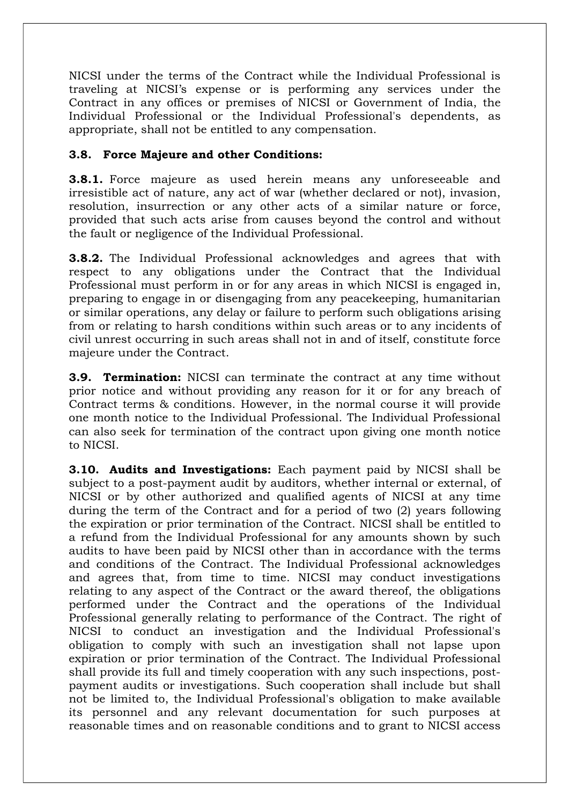NICSI under the terms of the Contract while the Individual Professional is traveling at NICSI's expense or is performing any services under the Contract in any offices or premises of NICSI or Government of India, the Individual Professional or the Individual Professional's dependents, as appropriate, shall not be entitled to any compensation.

#### 3.8. Force Majeure and other Conditions:

**3.8.1.** Force majeure as used herein means any unforeseeable and irresistible act of nature, any act of war (whether declared or not), invasion, resolution, insurrection or any other acts of a similar nature or force, provided that such acts arise from causes beyond the control and without the fault or negligence of the Individual Professional.

3.8.2. The Individual Professional acknowledges and agrees that with respect to any obligations under the Contract that the Individual Professional must perform in or for any areas in which NICSI is engaged in, preparing to engage in or disengaging from any peacekeeping, humanitarian or similar operations, any delay or failure to perform such obligations arising from or relating to harsh conditions within such areas or to any incidents of civil unrest occurring in such areas shall not in and of itself, constitute force majeure under the Contract.

**3.9. Termination:** NICSI can terminate the contract at any time without prior notice and without providing any reason for it or for any breach of Contract terms & conditions. However, in the normal course it will provide one month notice to the Individual Professional. The Individual Professional can also seek for termination of the contract upon giving one month notice to NICSI.

3.10. Audits and Investigations: Each payment paid by NICSI shall be subject to a post-payment audit by auditors, whether internal or external, of NICSI or by other authorized and qualified agents of NICSI at any time during the term of the Contract and for a period of two (2) years following the expiration or prior termination of the Contract. NICSI shall be entitled to a refund from the Individual Professional for any amounts shown by such audits to have been paid by NICSI other than in accordance with the terms and conditions of the Contract. The Individual Professional acknowledges and agrees that, from time to time. NICSI may conduct investigations relating to any aspect of the Contract or the award thereof, the obligations performed under the Contract and the operations of the Individual Professional generally relating to performance of the Contract. The right of NICSI to conduct an investigation and the Individual Professional's obligation to comply with such an investigation shall not lapse upon expiration or prior termination of the Contract. The Individual Professional shall provide its full and timely cooperation with any such inspections, postpayment audits or investigations. Such cooperation shall include but shall not be limited to, the Individual Professional's obligation to make available its personnel and any relevant documentation for such purposes at reasonable times and on reasonable conditions and to grant to NICSI access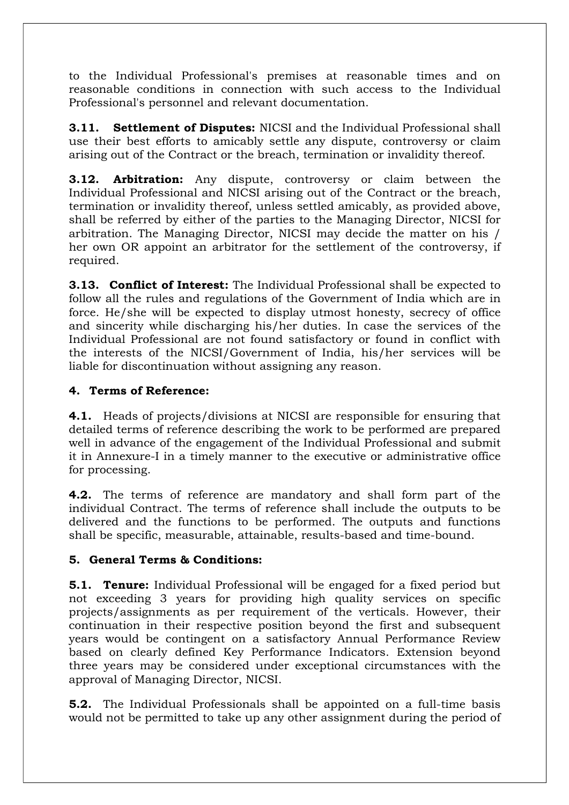to the Individual Professional's premises at reasonable times and on reasonable conditions in connection with such access to the Individual Professional's personnel and relevant documentation.

**3.11.** Settlement of Disputes: NICSI and the Individual Professional shall use their best efforts to amicably settle any dispute, controversy or claim arising out of the Contract or the breach, termination or invalidity thereof.

**3.12. Arbitration:** Any dispute, controversy or claim between the Individual Professional and NICSI arising out of the Contract or the breach, termination or invalidity thereof, unless settled amicably, as provided above, shall be referred by either of the parties to the Managing Director, NICSI for arbitration. The Managing Director, NICSI may decide the matter on his / her own OR appoint an arbitrator for the settlement of the controversy, if required.

**3.13. Conflict of Interest:** The Individual Professional shall be expected to follow all the rules and regulations of the Government of India which are in force. He/she will be expected to display utmost honesty, secrecy of office and sincerity while discharging his/her duties. In case the services of the Individual Professional are not found satisfactory or found in conflict with the interests of the NICSI/Government of India, his/her services will be liable for discontinuation without assigning any reason.

### 4. Terms of Reference:

4.1. Heads of projects/divisions at NICSI are responsible for ensuring that detailed terms of reference describing the work to be performed are prepared well in advance of the engagement of the Individual Professional and submit it in Annexure-I in a timely manner to the executive or administrative office for processing.

**4.2.** The terms of reference are mandatory and shall form part of the individual Contract. The terms of reference shall include the outputs to be delivered and the functions to be performed. The outputs and functions shall be specific, measurable, attainable, results-based and time-bound.

#### 5. General Terms & Conditions:

**5.1. Tenure:** Individual Professional will be engaged for a fixed period but not exceeding 3 years for providing high quality services on specific projects/assignments as per requirement of the verticals. However, their continuation in their respective position beyond the first and subsequent years would be contingent on a satisfactory Annual Performance Review based on clearly defined Key Performance Indicators. Extension beyond three years may be considered under exceptional circumstances with the approval of Managing Director, NICSI.

5.2. The Individual Professionals shall be appointed on a full-time basis would not be permitted to take up any other assignment during the period of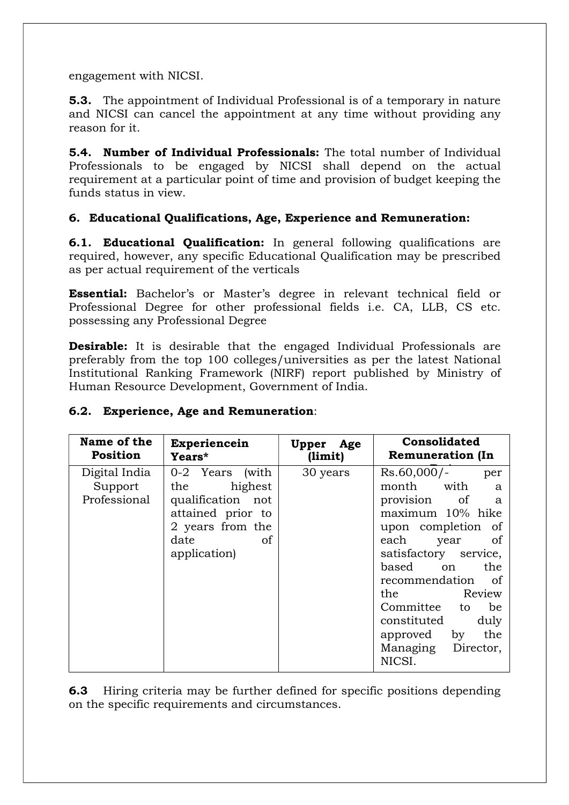engagement with NICSI.

5.3. The appointment of Individual Professional is of a temporary in nature and NICSI can cancel the appointment at any time without providing any reason for it.

5.4. Number of Individual Professionals: The total number of Individual Professionals to be engaged by NICSI shall depend on the actual requirement at a particular point of time and provision of budget keeping the funds status in view.

#### 6. Educational Qualifications, Age, Experience and Remuneration:

**6.1. Educational Qualification:** In general following qualifications are required, however, any specific Educational Qualification may be prescribed as per actual requirement of the verticals

Essential: Bachelor's or Master's degree in relevant technical field or Professional Degree for other professional fields i.e. CA, LLB, CS etc. possessing any Professional Degree

**Desirable:** It is desirable that the engaged Individual Professionals are preferably from the top 100 colleges/universities as per the latest National Institutional Ranking Framework (NIRF) report published by Ministry of Human Resource Development, Government of India.

#### 6.2. Experience, Age and Remuneration:

| Name of the                              | Experiencein                                                                                                                             | Upper Age | Consolidated                                                                                                                                                                                                                                                                                                    |  |
|------------------------------------------|------------------------------------------------------------------------------------------------------------------------------------------|-----------|-----------------------------------------------------------------------------------------------------------------------------------------------------------------------------------------------------------------------------------------------------------------------------------------------------------------|--|
| <b>Position</b>                          | Years*                                                                                                                                   | (limit)   | <b>Remuneration (In</b>                                                                                                                                                                                                                                                                                         |  |
| Digital India<br>Support<br>Professional | 0-2 Years<br>(with<br>the highest<br>qualification not<br>attained prior to<br>2 years from the<br>date<br><sub>of</sub><br>application) | 30 years  | Rs.60,000/-<br>per<br>month with<br>a<br>provision of<br>a<br>maximum 10% hike<br>upon completion of<br>each<br>year<br>of<br>satisfactory service,<br>based on<br>the<br>recommendation of<br>the Review<br>Committee to<br>be<br>constituted<br>duly<br>by<br>the<br>approved<br>Managing Director,<br>NICSI. |  |

6.3 Hiring criteria may be further defined for specific positions depending on the specific requirements and circumstances.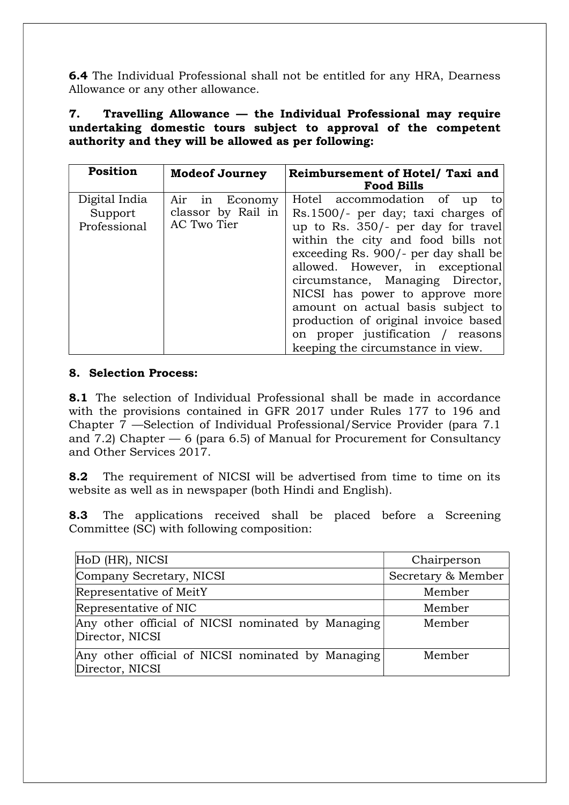6.4 The Individual Professional shall not be entitled for any HRA, Dearness Allowance or any other allowance.

7. Travelling Allowance — the Individual Professional may require undertaking domestic tours subject to approval of the competent authority and they will be allowed as per following:

| <b>Position</b>                          | <b>Modeof Journey</b>                                     | Reimbursement of Hotel/ Taxi and<br><b>Food Bills</b>                                                                                                                                                                                                                                                                                                                                                                                                          |
|------------------------------------------|-----------------------------------------------------------|----------------------------------------------------------------------------------------------------------------------------------------------------------------------------------------------------------------------------------------------------------------------------------------------------------------------------------------------------------------------------------------------------------------------------------------------------------------|
| Digital India<br>Support<br>Professional | Economy<br>Air<br>in<br>classor by Rail in<br>AC Two Tier | Hotel accommodation of<br>to<br>up<br>Rs.1500/- per day; taxi charges of<br>up to Rs. 350/- per day for travel<br>within the city and food bills not<br>exceeding Rs. 900/- per day shall be<br>allowed. However, in exceptional<br>circumstance, Managing Director,<br>NICSI has power to approve more<br>amount on actual basis subject to<br>production of original invoice based<br>on proper justification / reasons<br>keeping the circumstance in view. |

#### 8. Selection Process:

8.1 The selection of Individual Professional shall be made in accordance with the provisions contained in GFR 2017 under Rules 177 to 196 and Chapter 7 —Selection of Individual Professional/Service Provider (para 7.1 and 7.2) Chapter  $-6$  (para 6.5) of Manual for Procurement for Consultancy and Other Services 2017.

8.2 The requirement of NICSI will be advertised from time to time on its website as well as in newspaper (both Hindi and English).

8.3 The applications received shall be placed before a Screening Committee (SC) with following composition:

| HoD (HR), NICSI                                                      | Chairperson        |
|----------------------------------------------------------------------|--------------------|
| Company Secretary, NICSI                                             | Secretary & Member |
| Representative of MeitY                                              | Member             |
| Representative of NIC                                                | Member             |
| Any other official of NICSI nominated by Managing<br>Director, NICSI | Member             |
| Any other official of NICSI nominated by Managing<br>Director, NICSI | Member             |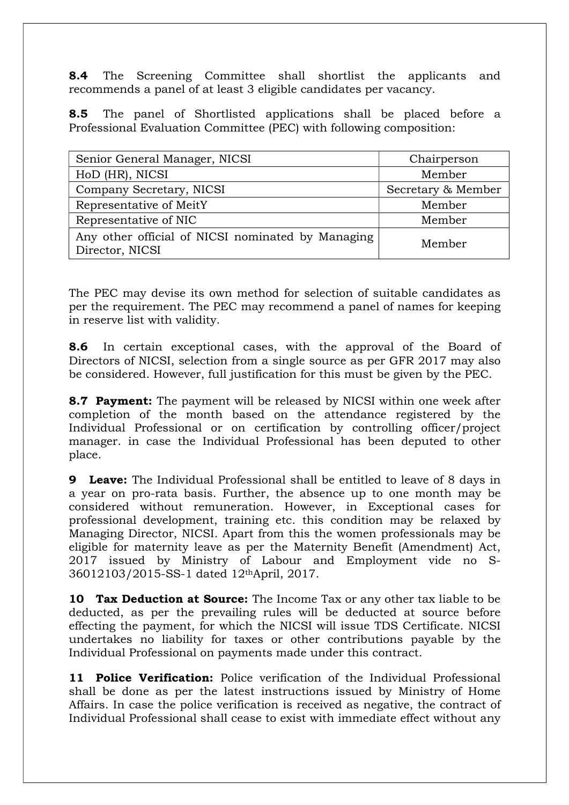**8.4** The Screening Committee shall shortlist the applicants and recommends a panel of at least 3 eligible candidates per vacancy.

8.5 The panel of Shortlisted applications shall be placed before a Professional Evaluation Committee (PEC) with following composition:

| Senior General Manager, NICSI                                        | Chairperson        |  |
|----------------------------------------------------------------------|--------------------|--|
| HoD (HR), NICSI                                                      | Member             |  |
| Company Secretary, NICSI                                             | Secretary & Member |  |
| Representative of MeitY                                              | Member             |  |
| Representative of NIC                                                | Member             |  |
| Any other official of NICSI nominated by Managing<br>Director, NICSI | Member             |  |

The PEC may devise its own method for selection of suitable candidates as per the requirement. The PEC may recommend a panel of names for keeping in reserve list with validity.

8.6 In certain exceptional cases, with the approval of the Board of Directors of NICSI, selection from a single source as per GFR 2017 may also be considered. However, full justification for this must be given by the PEC.

**8.7 Payment:** The payment will be released by NICSI within one week after completion of the month based on the attendance registered by the Individual Professional or on certification by controlling officer/project manager. in case the Individual Professional has been deputed to other place.

**9 Leave:** The Individual Professional shall be entitled to leave of 8 days in a year on pro-rata basis. Further, the absence up to one month may be considered without remuneration. However, in Exceptional cases for professional development, training etc. this condition may be relaxed by Managing Director, NICSI. Apart from this the women professionals may be eligible for maternity leave as per the Maternity Benefit (Amendment) Act, 2017 issued by Ministry of Labour and Employment vide no S-36012103/2015-SS-1 dated 12thApril, 2017.

**10 Tax Deduction at Source:** The Income Tax or any other tax liable to be deducted, as per the prevailing rules will be deducted at source before effecting the payment, for which the NICSI will issue TDS Certificate. NICSI undertakes no liability for taxes or other contributions payable by the Individual Professional on payments made under this contract.

11 Police Verification: Police verification of the Individual Professional shall be done as per the latest instructions issued by Ministry of Home Affairs. In case the police verification is received as negative, the contract of Individual Professional shall cease to exist with immediate effect without any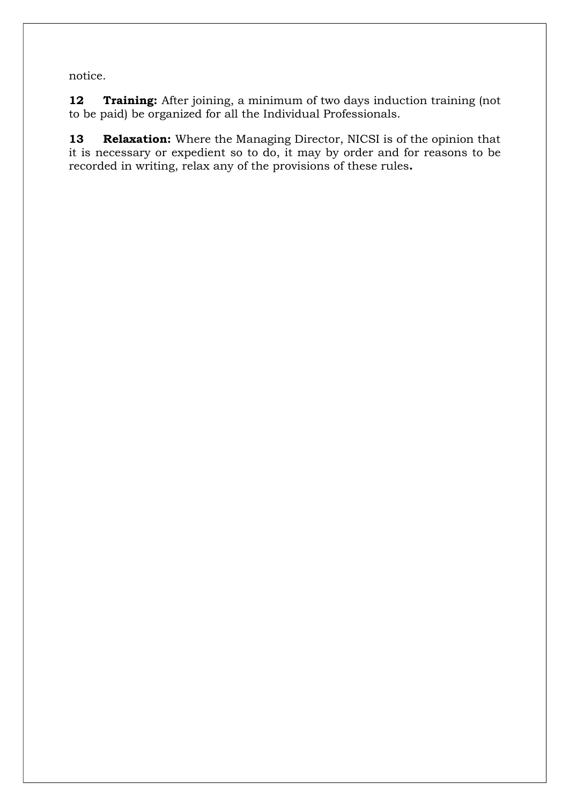notice.

12 Training: After joining, a minimum of two days induction training (not to be paid) be organized for all the Individual Professionals.

13 Relaxation: Where the Managing Director, NICSI is of the opinion that it is necessary or expedient so to do, it may by order and for reasons to be recorded in writing, relax any of the provisions of these rules.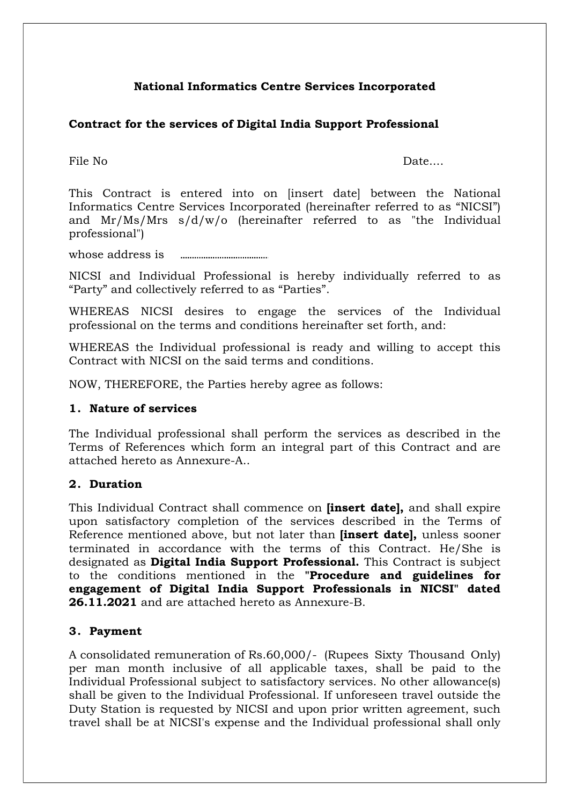### National Informatics Centre Services Incorporated

#### Contract for the services of Digital India Support Professional

File No Date....

This Contract is entered into on [insert date] between the National Informatics Centre Services Incorporated (hereinafter referred to as "NICSI") and Mr/Ms/Mrs s/d/w/o (hereinafter referred to as "the Individual professional")

whose address is

NICSI and Individual Professional is hereby individually referred to as "Party" and collectively referred to as "Parties".

WHEREAS NICSI desires to engage the services of the Individual professional on the terms and conditions hereinafter set forth, and:

WHEREAS the Individual professional is ready and willing to accept this Contract with NICSI on the said terms and conditions.

NOW, THEREFORE, the Parties hereby agree as follows:

#### 1. Nature of services

The Individual professional shall perform the services as described in the Terms of References which form an integral part of this Contract and are attached hereto as Annexure-A..

#### 2. Duration

This Individual Contract shall commence on *finsert datel*, and shall expire upon satisfactory completion of the services described in the Terms of Reference mentioned above, but not later than *[insert date]*, unless sooner terminated in accordance with the terms of this Contract. He/She is designated as **Digital India Support Professional.** This Contract is subject to the conditions mentioned in the "Procedure and guidelines for engagement of Digital India Support Professionals in NICSI" dated 26.11.2021 and are attached hereto as Annexure-B.

#### 3. Payment

A consolidated remuneration of Rs.60,000/- (Rupees Sixty Thousand Only) per man month inclusive of all applicable taxes, shall be paid to the Individual Professional subject to satisfactory services. No other allowance(s) shall be given to the Individual Professional. If unforeseen travel outside the Duty Station is requested by NICSI and upon prior written agreement, such travel shall be at NICSI's expense and the Individual professional shall only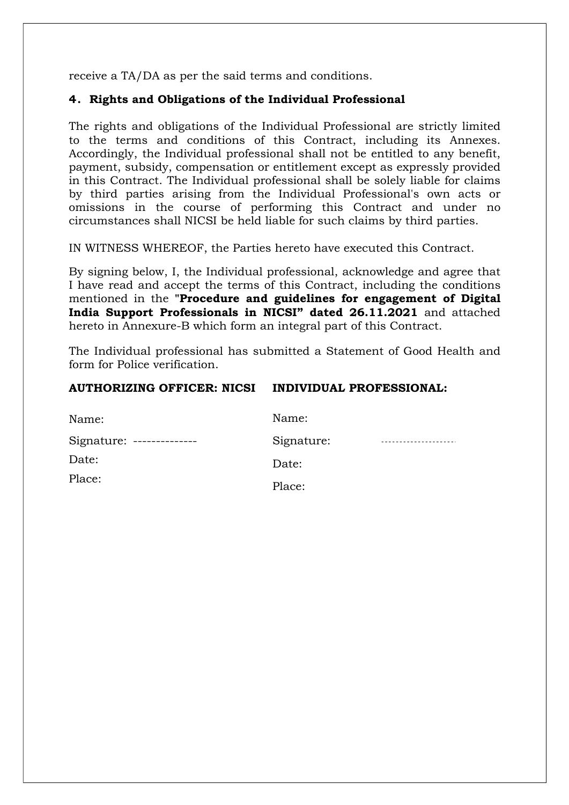receive a TA/DA as per the said terms and conditions.

#### 4. Rights and Obligations of the Individual Professional

The rights and obligations of the Individual Professional are strictly limited to the terms and conditions of this Contract, including its Annexes. Accordingly, the Individual professional shall not be entitled to any benefit, payment, subsidy, compensation or entitlement except as expressly provided in this Contract. The Individual professional shall be solely liable for claims by third parties arising from the Individual Professional's own acts or omissions in the course of performing this Contract and under no circumstances shall NICSI be held liable for such claims by third parties.

IN WITNESS WHEREOF, the Parties hereto have executed this Contract.

By signing below, I, the Individual professional, acknowledge and agree that I have read and accept the terms of this Contract, including the conditions mentioned in the "Procedure and guidelines for engagement of Digital India Support Professionals in NICSI" dated 26.11.2021 and attached hereto in Annexure-B which form an integral part of this Contract.

The Individual professional has submitted a Statement of Good Health and form for Police verification.

#### AUTHORIZING OFFICER: NICSI INDIVIDUAL PROFESSIONAL:

| Name:                     | Name:      |  |
|---------------------------|------------|--|
| Signature: -------------- | Signature: |  |
| Date:                     | Date:      |  |
| Place:                    | Place:     |  |